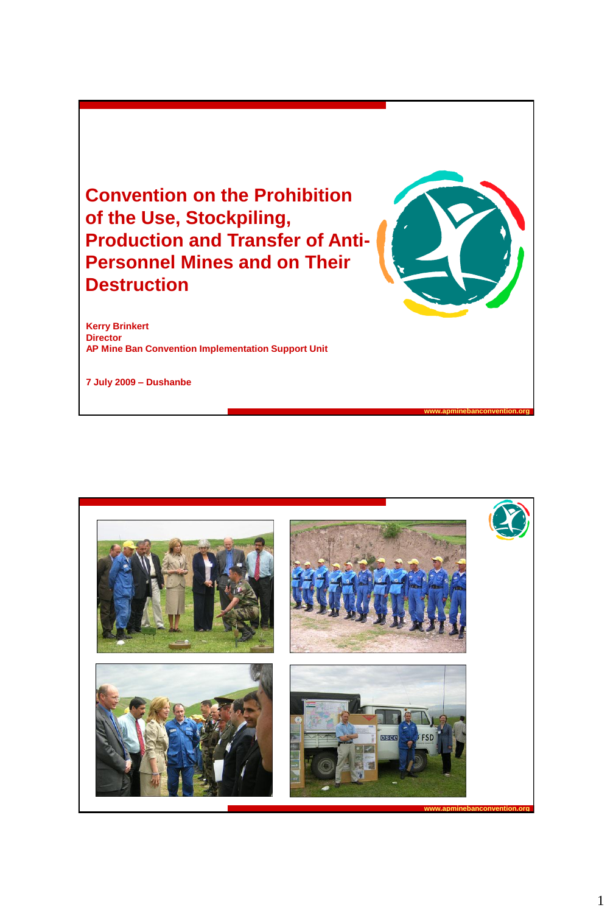**Convention on the Prohibition of the Use, Stockpiling, Production and Transfer of Anti-Personnel Mines and on Their Destruction**

**Kerry Brinkert Director AP Mine Ban Convention Implementation Support Unit**

**7 July 2009 – Dushanbe**

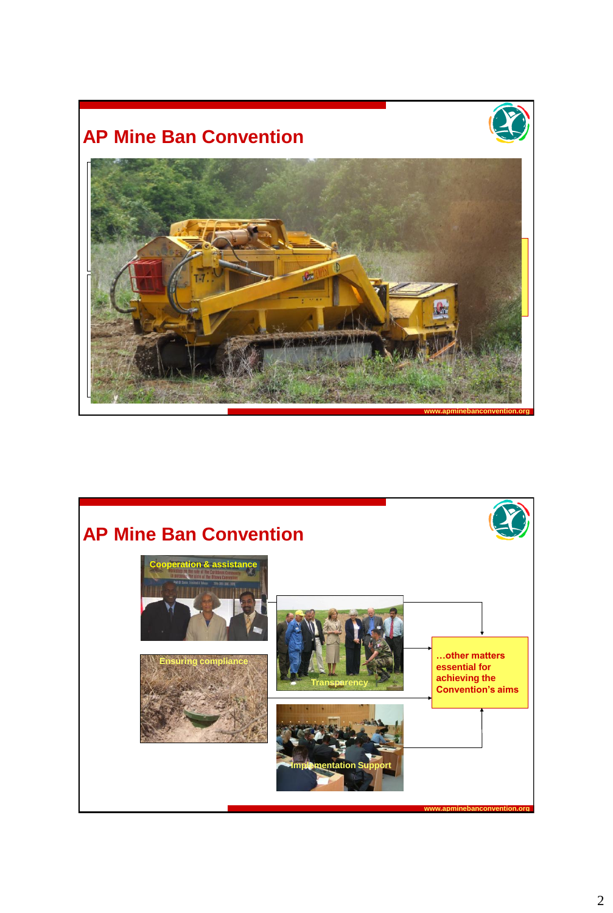# **AP Mine Ban Convention**





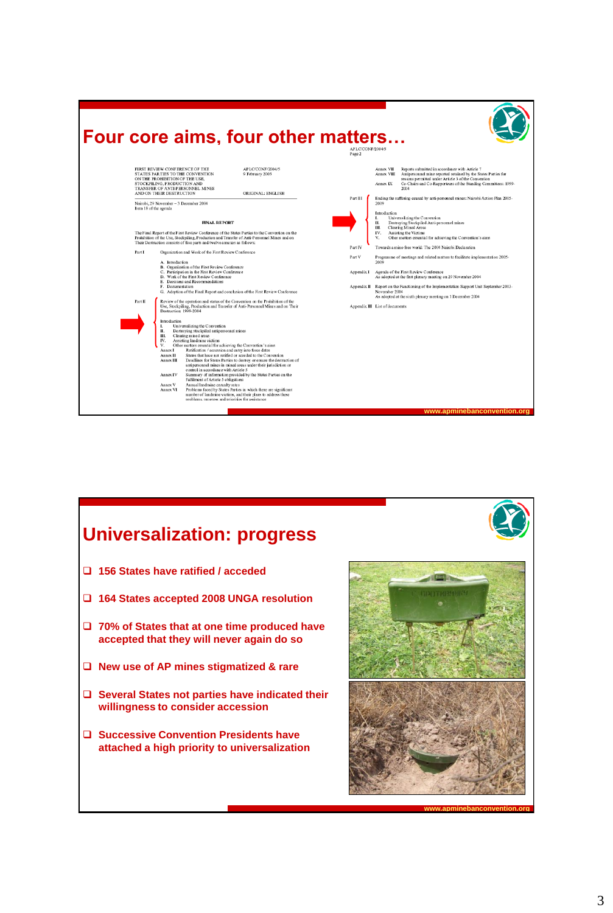



3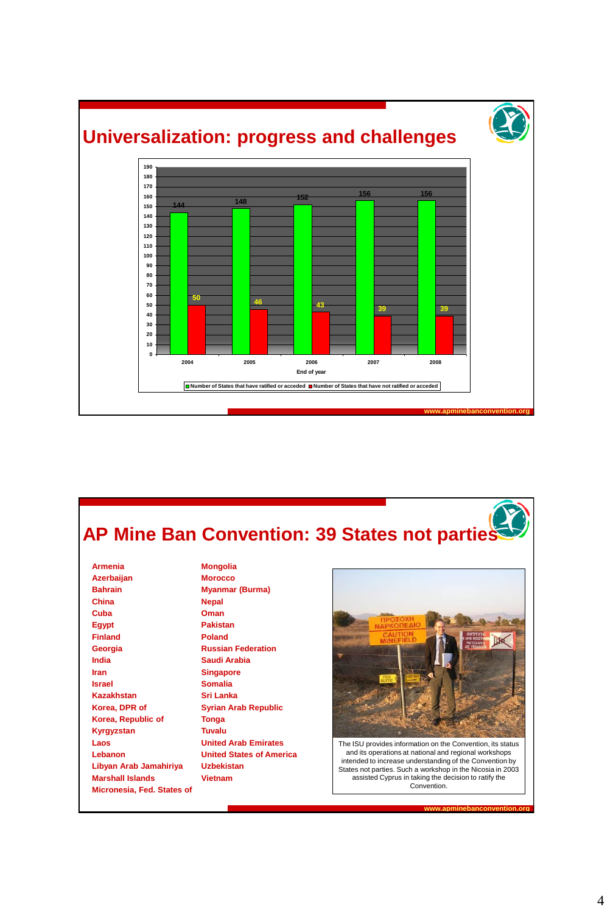

# **AP Mine Ban Convention: 39 States not parties**

**Armenia Azerbaijan Bahrain China Cuba Egypt Finland Georgia India Iran Israel Kazakhstan Korea, DPR of Korea, Republic of Kyrgyzstan Laos Lebanon Libyan Arab Jamahiriya Marshall Islands Micronesia, Fed. States of**

**Mongolia Morocco Myanmar (Burma) Nepal Oman Pakistan Poland Russian Federation Saudi Arabia Singapore Somalia Sri Lanka Syrian Arab Republic Tonga Tuvalu United Arab Emirates United States of America Uzbekistan Vietnam**



and its operations at national and regional workshops intended to increase understanding of the Convention by States not parties. Such a workshop in the Nicosia in 2003 assisted Cyprus in taking the decision to ratify the Convention.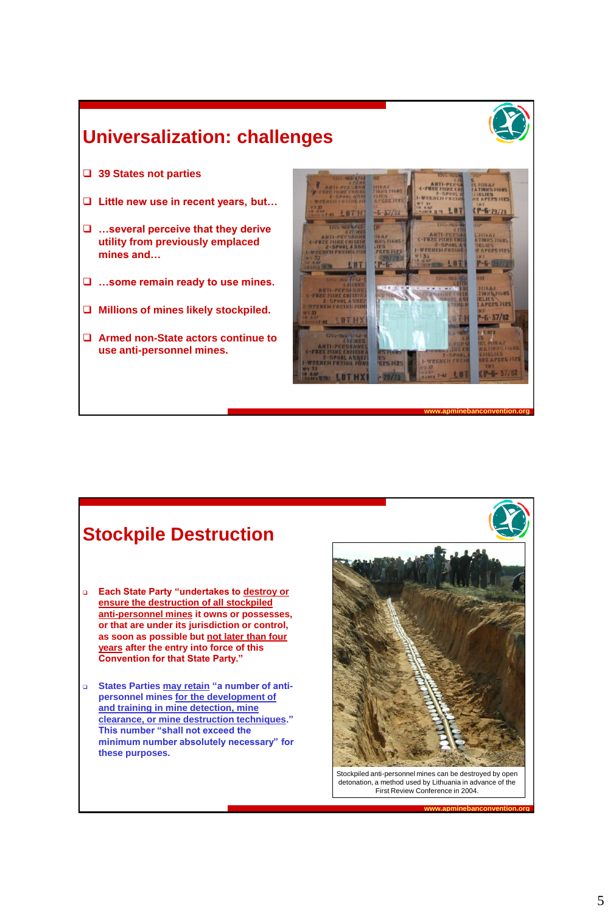**www.apminebanconvention.org**

### **Universalization: challenges**

- **39 States not parties**
- **Little new use in recent years, but…**
- **…several perceive that they derive utility from previously emplaced mines and…**
- **…some remain ready to use mines.**
- **Millions of mines likely stockpiled.**
- **Armed non-State actors continue to use anti-personnel mines.**



#### **Stockpile Destruction**

- **Each State Party "undertakes to destroy or ensure the destruction of all stockpiled anti-personnel mines it owns or possesses, or that are under its jurisdiction or control, as soon as possible but not later than four years after the entry into force of this Convention for that State Party."**
- **States Parties may retain "a number of antipersonnel mines for the development of and training in mine detection, mine clearance, or mine destruction techniques." This number "shall not exceed the minimum number absolutely necessary" for these purposes.**

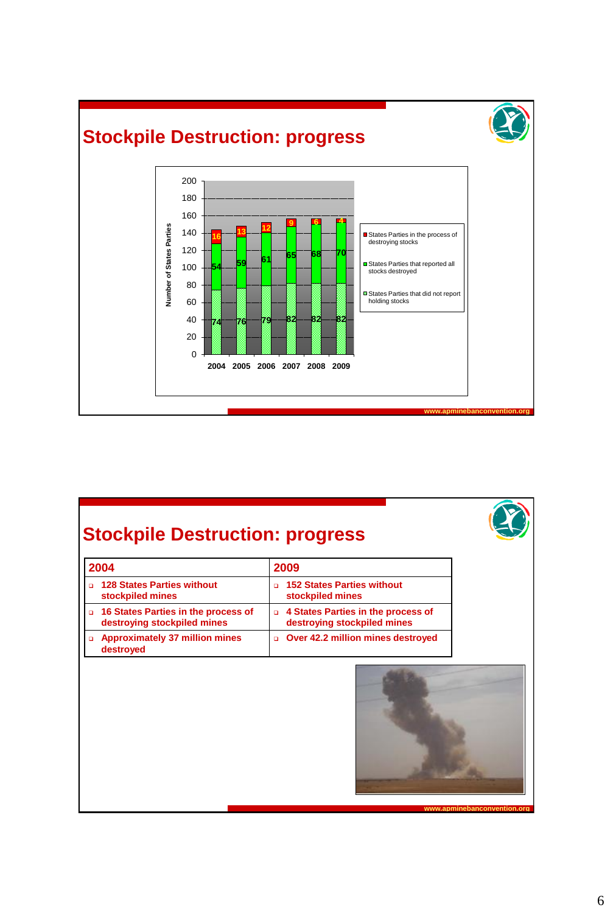

# **Stockpile Destruction: progress**

| 2004 |                                                                    | 2009                                                                |
|------|--------------------------------------------------------------------|---------------------------------------------------------------------|
|      | <b>128 States Parties without</b><br>stockpiled mines              | <b>152 States Parties without</b><br>$\Box$<br>stockpiled mines     |
|      | 16 States Parties in the process of<br>destroying stockpiled mines | □ 4 States Parties in the process of<br>destroying stockpiled mines |
|      | <b>Approximately 37 million mines</b><br>destroyed                 | Over 42.2 million mines destroyed<br>$\Box$                         |

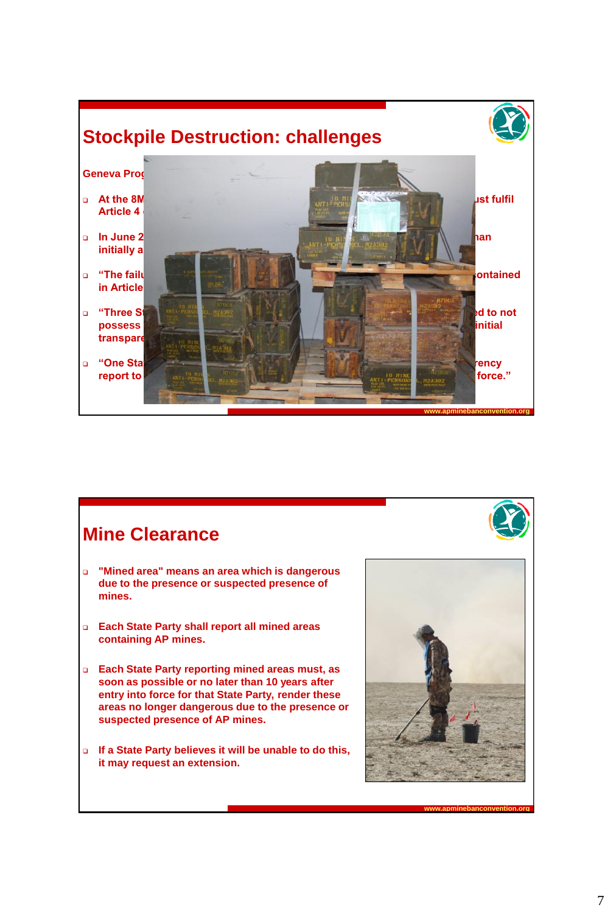



#### **Mine Clearance**

- **"Mined area" means an area which is dangerous due to the presence or suspected presence of mines.**
- **Each State Party shall report all mined areas containing AP mines.**
- **Each State Party reporting mined areas must, as soon as possible or no later than 10 years after entry into force for that State Party, render these areas no longer dangerous due to the presence or suspected presence of AP mines.**
- **If a State Party believes it will be unable to do this, it may request an extension.**

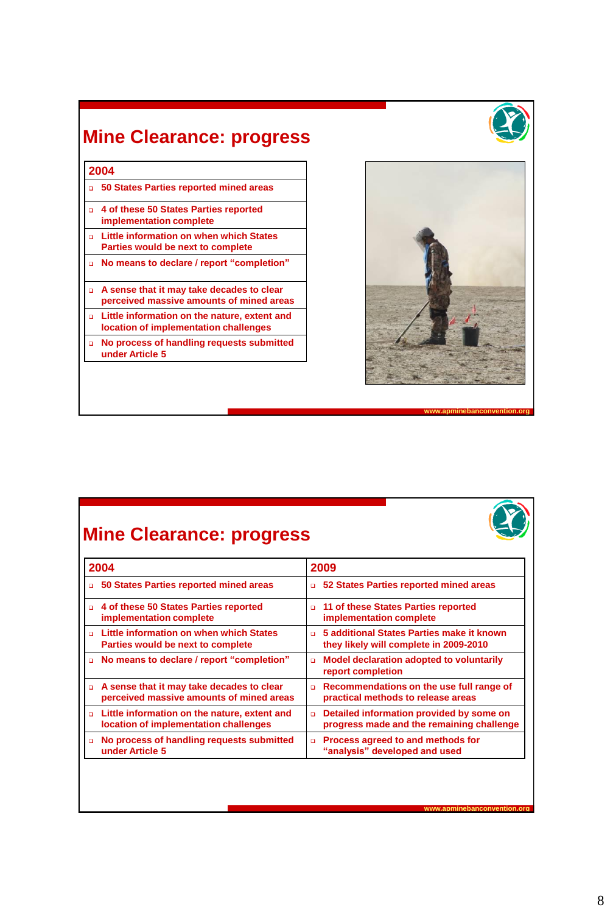#### **Mine Clearance: progress**





**www.apminebanconvention.org**

**www.apminebanconvention.org**

## **Mine Clearance: progress**

| 2004                                                                                    | 2009                                                                                            |
|-----------------------------------------------------------------------------------------|-------------------------------------------------------------------------------------------------|
| 50 States Parties reported mined areas<br>$\Box$                                        | 52 States Parties reported mined areas<br>$\Box$                                                |
| □ 4 of these 50 States Parties reported<br>implementation complete                      | 11 of these States Parties reported<br>$\Box$<br>implementation complete                        |
| □ Little information on when which States<br>Parties would be next to complete          | 5 additional States Parties make it known<br>$\Box$<br>they likely will complete in 2009-2010   |
| □ No means to declare / report "completion"                                             | Model declaration adopted to voluntarily<br>$\Box$<br>report completion                         |
| □ A sense that it may take decades to clear<br>perceived massive amounts of mined areas | Recommendations on the use full range of<br>$\Box$<br>practical methods to release areas        |
| □ Little information on the nature, extent and<br>location of implementation challenges | Detailed information provided by some on<br>$\Box$<br>progress made and the remaining challenge |
| No process of handling requests submitted<br>o.<br>under Article 5                      | Process agreed to and methods for<br>$\Box$<br>"analysis" developed and used                    |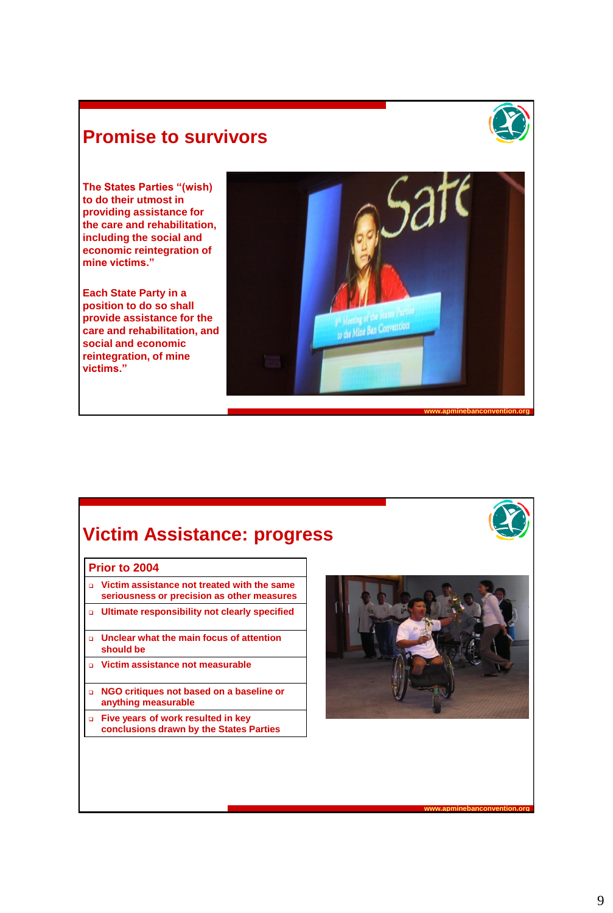#### **Promise to survivors**



**The States Parties "(wish) to do their utmost in providing assistance for the care and rehabilitation, including the social and economic reintegration of mine victims."**

**Each State Party in a position to do so shall provide assistance for the care and rehabilitation, and social and economic reintegration, of mine victims."**



#### **Victim Assistance: progress**

#### **Prior to 2004 2008**

- **Victim assistance not treated with the same seriousness or precision as other measures**
- **Littimate responsibility not clearly specified**
- **Unclear what the main focus of attention should be**
- **B** Victim assistance not measurable
- **NGO critiques not based on a baseline or anything measurable**
- **Five years of work resulted in key conclusions drawn by the States Parties**

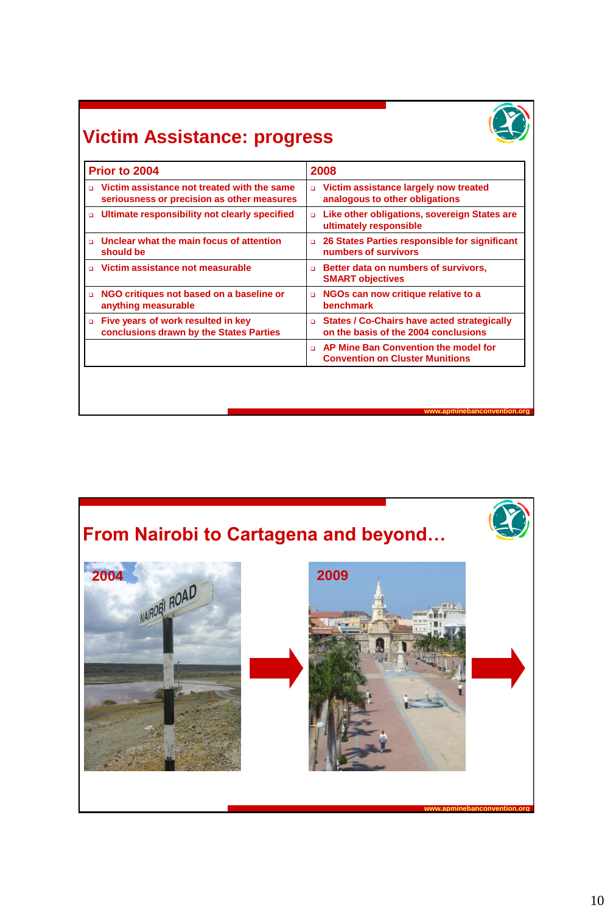

# **Victim Assistance: progress**

| Prior to 2004                                                                             | 2008                                                                                          |
|-------------------------------------------------------------------------------------------|-----------------------------------------------------------------------------------------------|
| Victim assistance not treated with the same<br>seriousness or precision as other measures | Victim assistance largely now treated<br>o.<br>analogous to other obligations                 |
| □ Ultimate responsibility not clearly specified                                           | Like other obligations, sovereign States are<br>o.<br>ultimately responsible                  |
| Unclear what the main focus of attention<br>should be                                     | 26 States Parties responsible for significant<br>$\Box$<br>numbers of survivors               |
| Victim assistance not measurable                                                          | Better data on numbers of survivors,<br>$\Box$<br><b>SMART objectives</b>                     |
| NGO critiques not based on a baseline or<br>$\Box$<br>anything measurable                 | NGOs can now critique relative to a<br>$\Box$<br><b>benchmark</b>                             |
| Five years of work resulted in key<br>$\Box$<br>conclusions drawn by the States Parties   | States / Co-Chairs have acted strategically<br>$\Box$<br>on the basis of the 2004 conclusions |
|                                                                                           | AP Mine Ban Convention the model for<br>$\Box$<br><b>Convention on Cluster Munitions</b>      |
|                                                                                           |                                                                                               |
|                                                                                           |                                                                                               |
|                                                                                           | www.apminebanconvention.org                                                                   |